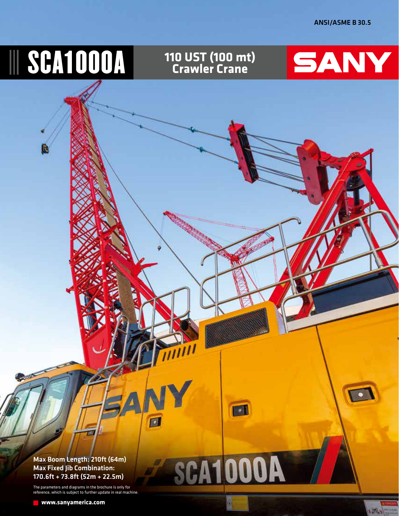# **III SCA1000A Crawler Crane** SANY  $\bullet$ n 回

**SCA1000A** 

O,

Max Boom Length: 210ft (64m) Max Fixed Jib Combination: 170.6ft + 73.8ft (52m + 22.5m)

The parameters and diagrams in the brochure is only for reference, which is subject to further update in real machine.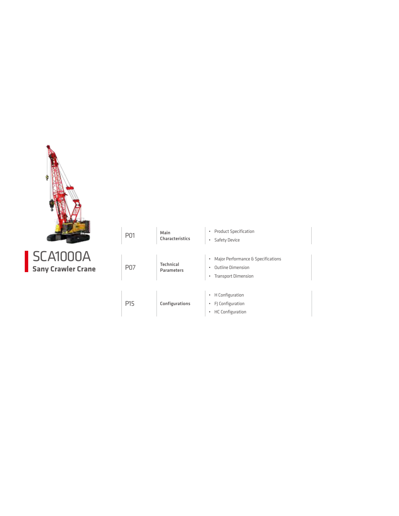

| <b>SCA1000A</b>           |
|---------------------------|
| <b>Sany Crawler Crane</b> |

| P <sub>01</sub> | Main<br><b>Characteristics</b>        | <b>Product Specification</b><br>$\bullet$<br>Safety Device<br>٠                                             |
|-----------------|---------------------------------------|-------------------------------------------------------------------------------------------------------------|
| <b>P07</b>      | <b>Technical</b><br><b>Parameters</b> | Major Performance & Specifications<br>٠<br><b>Outline Dimension</b><br>٠<br><b>Transport Dimension</b><br>٠ |
| P <sub>15</sub> | Configurations                        | H Configuration<br>$\bullet$<br>FJ Configuration<br>٠<br><b>HC</b> Configuration<br>۰                       |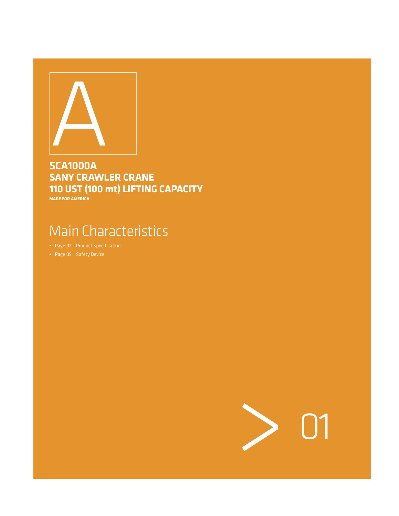

# **SCA1000A SANY CRAWLER CRANE 110 UST (100 mt) LIFTING CAPACITY**

**MADE FOR AMERICA**

# Main Characteristics

- Page 02 Product Specification
- Page 05 Safety Device

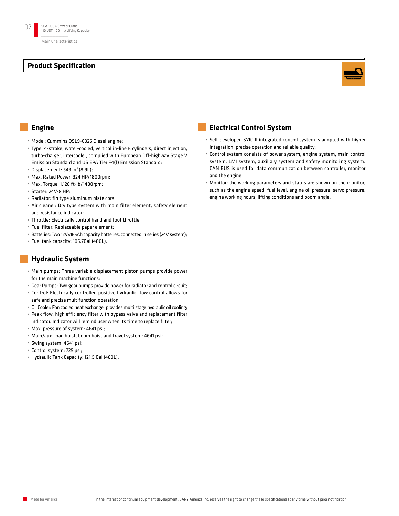

#### **Engine**

- • Model: Cummins QSL9-C325 Diesel engine;
- • Type: 4-stroke, water-cooled, vertical in-line 6 cylinders, direct injection, turbo-charger, intercooler, complied with European Off-highway Stage V Emission Standard and US EPA Tier F4(f) Emission Standard;
- $*$  Displacement: 543 in<sup>3</sup> (8.9L);
- • Max. Rated Power: 324 HP/1800rpm;
- • Max. Torque: 1,126 ft-lb/1400rpm;
- • Starter: 24V-8 HP;
- • Radiator: fin type aluminum plate core;
- • Air cleaner: Dry type system with main filter element, safety element and resistance indicator;
- • Throttle: Electrically control hand and foot throttle;
- • Fuel filter: Replaceable paper element;
- • Batteries: Two 12V×165Ah capacity batteries, connected in series (24V system);
- • Fuel tank capacity: 105.7Gal (400L).

### **Hydraulic System**

- • Main pumps: Three variable displacement piston pumps provide power for the main machine functions;
- • Gear Pumps: Two gear pumps provide power for radiator and control circuit;
- • Control: Electrically controlled positive hydraulic flow control allows for safe and precise multifunction operation;
- Oil Cooler: Fan cooled heat exchanger provides multi stage hydraulic oil cooling;
- • Peak flow, high efficiency filter with bypass valve and replacement filter indicator. Indicator will remind user when its time to replace filter;
- • Max. pressure of system: 4641 psi;
- • Main/aux. load hoist, boom hoist and travel system: 4641 psi;
- • Swing system: 4641 psi;
- • Control system: 725 psi;
- • Hydraulic Tank Capacity: 121.5 Gal (460L).

#### **Electrical Control System**

- • Self-developed SYIC-II integrated control system is adopted with higher integration, precise operation and reliable quality;
- • Control system consists of power system, engine system, main control system, LMI system, auxiliary system and safety monitoring system. CAN BUS is used for data communication between controller, monitor and the engine;
- • Monitor: the working parameters and status are shown on the monitor, such as the engine speed, fuel level, engine oil pressure, servo pressure, engine working hours, lifting conditions and boom angle.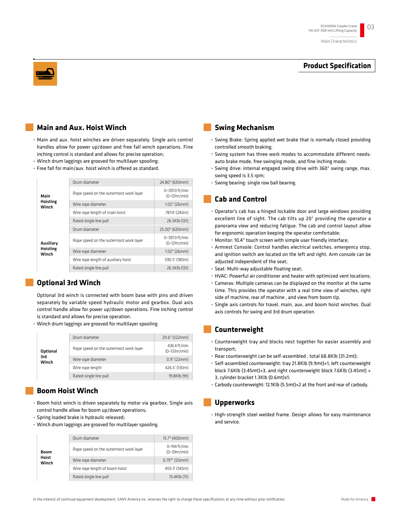

#### **Main and Aux. Hoist Winch**

- • Main and aux. hoist winches are driven separately. Single axis control handles allow for power up/down and free fall winch operations. Fine inching control is standard and allows for precise operation;
- • Winch drum laggings are grooved for multilayer spooling;
- • Free fall for main/aux. hoist winch is offered as standard.

|                   | Drum diameter                          | 24.80" (630mm)                   |
|-------------------|----------------------------------------|----------------------------------|
| Main              | Rope speed on the outermost work layer | 0~397.0 ft/min<br>$(0-121m/min)$ |
| Hoisting<br>Winch | Wire rope diameter                     | $1.02$ " (26mm)                  |
|                   | Wire rope length of main hoist         | 787.4' (240m)                    |
|                   | Rated single line pull                 | 26.5Klb (12t)                    |
|                   | Drum diameter                          | 25.00" (630mm)                   |
| Auxiliary         | Rope speed on the outermost work layer | 0~397.0 ft/min<br>$(0-121m/min)$ |
| Hoisting<br>Winch | Wire rope diameter                     | $1.02$ " (26mm)                  |
|                   | Wire rope length of auxiliary hoist    | 590.5' (180m)                    |
|                   | Rated single line pull                 | 26.5Klb (12t)                    |

#### **Optional 3rd Winch**

Optional 3rd winch is connected with boom base with pins and driven separately by variable speed hydraulic motor and gearbox. Dual axis control handle allow for power up/down operations. Fine inching control is standard and allows for precise operation.

• Winch drum laggings are grooved for multilayer spooling.

|                 | Drum diameter                          | 20.6" (522mm)                  |
|-----------------|----------------------------------------|--------------------------------|
| <b>Optional</b> | Rope speed on the outermost work layer | 436.4 ft/min<br>$(0-133m/min)$ |
| 3rd<br>Winch    | Wire rope diameter                     | 0.9" (22mm)                    |
|                 | Wire rope length                       | 426.5' (130m)                  |
|                 | Rated single line pull                 | 19.8Klb (9t)                   |

#### **Boom Hoist Winch**

- • Boom hoist winch is driven separately by motor via gearbox. Single axis control handle allow for boom up/down operations;
- • Spring loaded brake is hydraulic released;
- • Winch drum laggings are grooved for multilayer spooling.

|                | Drum diameter                          | 15.7" (400mm)                 |
|----------------|----------------------------------------|-------------------------------|
| Boom           | Rope speed on the outermost work layer | 0~194 ft/min<br>$(0-59m/min)$ |
| Hoist<br>Winch | Wire rope diameter                     | $0.79$ "" (20mm)              |
|                | Wire rope length of boom hoist         | 459.3' (140m)                 |
|                | Rated single line pull                 | 15.4Klb (7t)                  |

#### **Swing Mechanism**

- • Swing Brake: Spring applied wet brake that is normally closed providing controlled smooth braking;
- • Swing system has three work modes to accommodate different needs: auto brake mode, free swinging mode, and fine inching mode;
- • Swing drive: internal engaged swing drive with 360° swing range, max. swing speed is 3.5 rpm;
- • Swing bearing: single row ball bearing.

#### **Cab and Control**

- • Operator's cab has a hinged lockable door and large windows providing excellent line of sight. The cab tilts up 20° providing the operator a panorama view and reducing fatigue. The cab and control layout allow for ergonomic operation keeping the operator comfortable;
- • Monitor: 10.4" touch screen with simple user friendly interface;
- • Armrest Console: Control handles electrical switches, emergency stop, and ignition switch are located on the left and right. Arm console can be adjusted independent of the seat;
- • Seat: Multi-way adjustable floating seat;
- • HVAC: Powerful air conditioner and heater with optimized vent locations;
- • Cameras: Multiple cameras can be displayed on the monitor at the same time. This provides the operator with a real time view of winches, right side of machine, rear of machine , and view from boom tip.
- Single axis controls for travel, main, aux, and boom hoist winches. Dual axis controls for swing and 3rd drum operation.

#### **Counterweight**

- • Counterweight tray and blocks nest together for easier assembly and transport;
- • Rear counterweight can be self-assembled , total 68.8Klb (31.2mt);
- • Self-assembled counterweight: tray 21.8Klb (9.9mt)×1, left counterweight block 7.6Klb (3.45mt)×3, and right counterweight block 7.6Klb (3.45mt) × 3, cylinder bracket 1.3Klb (0.6mt)x1;
- • Carbody counterweight: 12.1Klb (5.5mt)×2 at the front and rear of carbody.

#### **Upperworks**

• High-strength steel welded frame. Design allows for easy maintenance and service.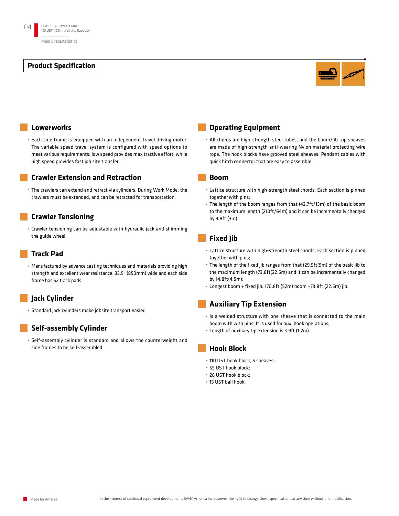

#### **Lowerworks**

• Each side frame is equipped with an independent travel driving motor. The variable speed travel system is configured with speed options to meet various requirements: low speed provides max tractive effort, while high speed provides fast job site transfer.

#### **Crawler Extension and Retraction**

• The crawlers can extend and retract via cylinders. During Work Mode, the crawlers must be extended, and can be retracted for transportation.

#### **Crawler Tensioning**

• Crawler tensioning can be adjustable with hydraulic jack and shimming the guide wheel.

#### **Track Pad**

• Manufactured by advance casting techniques and materials providing high strength and excellent wear resistance. 33.5" (850mm) wide and each side frame has 52 track pads.

#### **Jack Cylinder**

• Standard jack cylinders make jobsite transport easier.

#### **Self-assembly Cylinder**

• Self-assembly cylinder is standard and allows the counterweight and side frames to be self-assembled.

#### **Operating Equipment**

• All chords are high-strength steel tubes, and the boom/jib top sheaves are made of high-strength anti-wearing Nylon material protecting wire rope. The hook blocks have grooved steel sheaves. Pendant cables with quick hitch connector that are easy to assemble.

#### **Boom**

- • Lattice structure with high-strength steel chords. Each section is pinned together with pins;
- • The length of the boom ranges from that (42.7ft/13m) of the basic boom to the maximum length (210ft/64m) and it can be incrementally changed by 9.8ft (3m).

#### **Fixed Jib**

- • Lattice structure with high-strength steel chords. Each section is pinned together with pins;
- • The length of the fixed jib ranges from that (29.5ft(9m) of the basic jib to the maximum length (73.8ft(22.5m) and it can be incrementally changed by 14.8ft(4.5m);
- • Longest boom + fixed jib: 170.6ft (52m) boom +73.8ft (22.5m) jib.

#### **Auxiliary Tip Extension**

- • Is a welded structure with one sheave that is connected to the main boom with with pins. It is used for aux. hook operations;
- • Length of auxiliary tip extension is 3.9ft (1.2m).

#### **Hook Block**

- • 110 UST hook block, 5 sheaves;
- • 55 UST hook block;
- • 28 UST hook block;
- • 15 UST ball hook.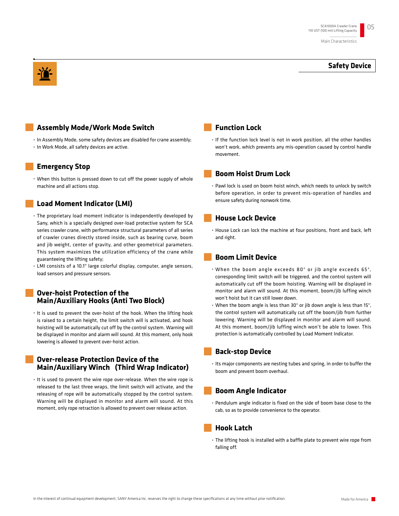#### **Safety Device**

#### **Assembly Mode/Work Mode Switch**

• In Assembly Mode, some safety devices are disabled for crane assembly; • In Work Mode, all safety devices are active.

#### **Emergency Stop**

• When this button is pressed down to cut off the power supply of whole machine and all actions stop.

#### **Load Moment Indicator (LMI)**

- • The proprietary load moment indicator is independently developed by Sany, which is a specially designed over-load protective system for SCA series crawler crane, with performance structural parameters of all series of crawler cranes directly stored inside, such as bearing curve, boom and jib weight, center of gravity, and other geometrical parameters. This system maximizes the utilization efficiency of the crane while guaranteeing the lifting safety;
- • LMI consists of a 10.1" large colorful display, computer, angle sensors, load sensors and pressure sensors.

#### **Over-hoist Protection of the Main/Auxiliary Hooks (Anti Two Block)**

• It is used to prevent the over-hoist of the hook. When the lifting hook is raised to a certain height, the limit switch will is activated, and hook hoisting will be automatically cut off by the control system. Warning will be displayed in monitor and alarm will sound. At this moment, only hook lowering is allowed to prevent over-hoist action.

#### **Over-release Protection Device of the Main/Auxiliary Winch (Third Wrap Indicator)**

• It is used to prevent the wire rope over-release. When the wire rope is released to the last three wraps, the limit switch will activate, and the releasing of rope will be automatically stopped by the control system. Warning will be displayed in monitor and alarm will sound. At this moment, only rope retraction is allowed to prevent over release action.

#### **Function Lock**

• If the function lock level is not in work position, all the other handles won't work, which prevents any mis-operation caused by control handle movement.

#### **Boom Hoist Drum Lock**

• Pawl lock is used on boom hoist winch, which needs to unlock by switch before operation, in order to prevent mis-operation of handles and ensure safety during nonwork time.

#### **House Lock Device**

• House Lock can lock the machine at four positions, front and back, left and right.

#### **Boom Limit Device**

- • When the boom angle exceeds 80° or jib angle exceeds 65°, corresponding limit switch will be triggered, and the control system will automatically cut off the boom hoisting. Warning will be displayed in monitor and alarm will sound. At this moment, boom/jib luffing winch won't hoist but it can still lower down.
- • When the boom angle is less than 30° or jib down angle is less than 15°, the control system will automatically cut off the boom/jib from further lowering. Warning will be displayed in monitor and alarm will sound. At this moment, boom/jib luffing winch won't be able to lower. This protection is automatically controlled by Load Moment Indicator.

#### **Back-stop Device**

• Its major components are nesting tubes and spring, in order to buffer the boom and prevent boom overhaul.

#### **Boom Angle Indicator**

• Pendulum angle indicator is fixed on the side of boom base close to the cab, so as to provide convenience to the operator.

#### **Hook Latch**

• The lifting hook is installed with a baffle plate to prevent wire rope from falling off.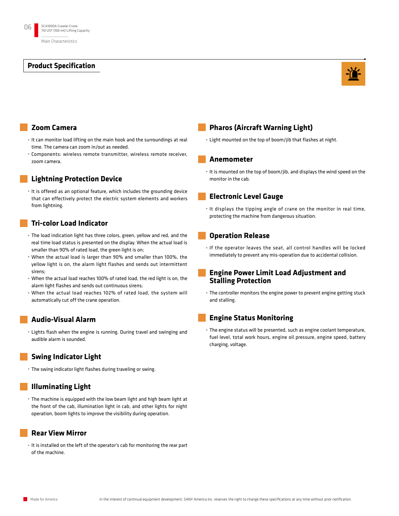

#### **Zoom Camera**

- • It can monitor load lifting on the main hook and the surroundings at real time. The camera can zoom in/out as needed.
- • Components: wireless remote transmitter, wireless remote receiver, zoom camera.

#### **Lightning Protection Device**

• It is offered as an optional feature, which includes the grounding device that can effectively protect the electric system elements and workers from lightning.

#### **Tri-color Load Indicator**

- • The load indication light has three colors, green, yellow and red, and the real time load status is presented on the display. When the actual load is smaller than 90% of rated load, the green light is on;
- • When the actual load is larger than 90% and smaller than 100%, the yellow light is on, the alarm light flashes and sends out intermittent sirens;
- • When the actual load reaches 100% of rated load, the red light is on, the alarm light flashes and sends out continuous sirens;
- • When the actual load reaches 102% of rated load, the system will automatically cut off the crane operation.

#### **Audio-Visual Alarm**

• Lights flash when the engine is running. During travel and swinging and audible alarm is sounded.

#### **Swing Indicator Light**

• The swing indicator light flashes during traveling or swing.

#### **Illuminating Light**

• The machine is equipped with the low beam light and high beam light at the front of the cab, illumination light in cab, and other lights for night operation, boom lights to improve the visibility during operation.

#### **Rear View Mirror**

• It is installed on the left of the operator's cab for monitoring the rear part of the machine.

#### **Pharos (Aircraft Warning Light)**

• Light mounted on the top of boom/jib that flashes at night.

#### **Anemometer**

• It is mounted on the top of boom/jib, and displays the wind speed on the monitor in the cab.

#### **Electronic Level Gauge**

• It displays the tipping angle of crane on the monitor in real time, protecting the machine from dangerous situation.

#### **Operation Release**

• If the operator leaves the seat, all control handles will be locked immediately to prevent any mis-operation due to accidental collision.

#### **Engine Power Limit Load Adjustment and Stalling Protection**

• The controller monitors the engine power to prevent engine getting stuck and stalling.

#### **Engine Status Monitoring**

• The engine status will be presented, such as engine coolant temperature, fuel level, total work hours, engine oil pressure, engine speed, battery charging, voltage.